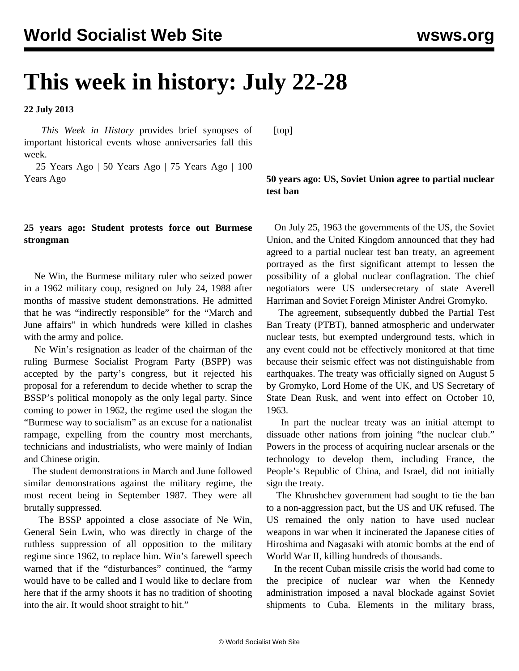# **This week in history: July 22-28**

**22 July 2013**

 *This Week in History* provides brief synopses of important historical events whose anniversaries fall this week.

 25 Years Ago | 50 Years Ago | 75 Years Ago | 100 Years Ago

### **25 years ago: Student protests force out Burmese strongman**

 Ne Win, the Burmese military ruler who seized power in a 1962 military coup, resigned on July 24, 1988 after months of massive student demonstrations. He admitted that he was "indirectly responsible" for the "March and June affairs" in which hundreds were killed in clashes with the army and police.

 Ne Win's resignation as leader of the chairman of the ruling Burmese Socialist Program Party (BSPP) was accepted by the party's congress, but it rejected his proposal for a referendum to decide whether to scrap the BSSP's political monopoly as the only legal party. Since coming to power in 1962, the regime used the slogan the "Burmese way to socialism" as an excuse for a nationalist rampage, expelling from the country most merchants, technicians and industrialists, who were mainly of Indian and Chinese origin.

 The student demonstrations in March and June followed similar demonstrations against the military regime, the most recent being in September 1987. They were all brutally suppressed.

 The BSSP appointed a close associate of Ne Win, General Sein Lwin, who was directly in charge of the ruthless suppression of all opposition to the military regime since 1962, to replace him. Win's farewell speech warned that if the "disturbances" continued, the "army would have to be called and I would like to declare from here that if the army shoots it has no tradition of shooting into the air. It would shoot straight to hit."

[top]

## **50 years ago: US, Soviet Union agree to partial nuclear test ban**

 On July 25, 1963 the governments of the US, the Soviet Union, and the United Kingdom announced that they had agreed to a partial nuclear test ban treaty, an agreement portrayed as the first significant attempt to lessen the possibility of a global nuclear conflagration. The chief negotiators were US undersecretary of state Averell Harriman and Soviet Foreign Minister Andrei Gromyko.

 The agreement, subsequently dubbed the Partial Test Ban Treaty (PTBT), banned atmospheric and underwater nuclear tests, but exempted underground tests, which in any event could not be effectively monitored at that time because their seismic effect was not distinguishable from earthquakes. The treaty was officially signed on August 5 by Gromyko, Lord Home of the UK, and US Secretary of State Dean Rusk, and went into effect on October 10, 1963.

 In part the nuclear treaty was an initial attempt to dissuade other nations from joining "the nuclear club." Powers in the process of acquiring nuclear arsenals or the technology to develop them, including France, the People's Republic of China, and Israel, did not initially sign the treaty.

 The Khrushchev government had sought to tie the ban to a non-aggression pact, but the US and UK refused. The US remained the only nation to have used nuclear weapons in war when it incinerated the Japanese cities of Hiroshima and Nagasaki with atomic bombs at the end of World War II, killing hundreds of thousands.

 In the recent Cuban missile crisis the world had come to the precipice of nuclear war when the Kennedy administration imposed a naval blockade against Soviet shipments to Cuba. Elements in the military brass,